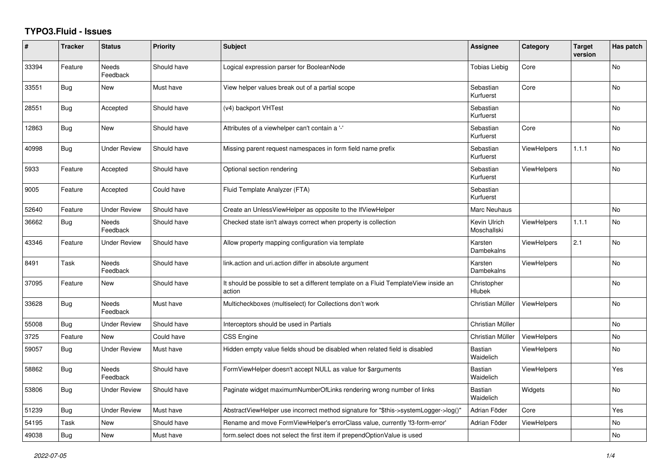## **TYPO3.Fluid - Issues**

| #     | <b>Tracker</b> | <b>Status</b>            | <b>Priority</b> | <b>Subject</b>                                                                                | <b>Assignee</b>             | Category           | <b>Target</b><br>version | Has patch |
|-------|----------------|--------------------------|-----------------|-----------------------------------------------------------------------------------------------|-----------------------------|--------------------|--------------------------|-----------|
| 33394 | Feature        | <b>Needs</b><br>Feedback | Should have     | Logical expression parser for BooleanNode                                                     | <b>Tobias Liebig</b>        | Core               |                          | <b>No</b> |
| 33551 | Bug            | New                      | Must have       | View helper values break out of a partial scope                                               | Sebastian<br>Kurfuerst      | Core               |                          | <b>No</b> |
| 28551 | <b>Bug</b>     | Accepted                 | Should have     | (v4) backport VHTest                                                                          | Sebastian<br>Kurfuerst      |                    |                          | <b>No</b> |
| 12863 | Bug            | New                      | Should have     | Attributes of a viewhelper can't contain a '-'                                                | Sebastian<br>Kurfuerst      | Core               |                          | No        |
| 40998 | Bug            | <b>Under Review</b>      | Should have     | Missing parent request namespaces in form field name prefix                                   | Sebastian<br>Kurfuerst      | <b>ViewHelpers</b> | 1.1.1                    | <b>No</b> |
| 5933  | Feature        | Accepted                 | Should have     | Optional section rendering                                                                    | Sebastian<br>Kurfuerst      | <b>ViewHelpers</b> |                          | <b>No</b> |
| 9005  | Feature        | Accepted                 | Could have      | Fluid Template Analyzer (FTA)                                                                 | Sebastian<br>Kurfuerst      |                    |                          |           |
| 52640 | Feature        | <b>Under Review</b>      | Should have     | Create an UnlessViewHelper as opposite to the IfViewHelper                                    | Marc Neuhaus                |                    |                          | <b>No</b> |
| 36662 | <b>Bug</b>     | <b>Needs</b><br>Feedback | Should have     | Checked state isn't always correct when property is collection                                | Kevin Ulrich<br>Moschallski | <b>ViewHelpers</b> | 1.1.1                    | <b>No</b> |
| 43346 | Feature        | Under Review             | Should have     | Allow property mapping configuration via template                                             | Karsten<br>Dambekalns       | <b>ViewHelpers</b> | 2.1                      | No        |
| 8491  | Task           | Needs<br>Feedback        | Should have     | link.action and uri.action differ in absolute argument                                        | Karsten<br>Dambekalns       | <b>ViewHelpers</b> |                          | <b>No</b> |
| 37095 | Feature        | New                      | Should have     | It should be possible to set a different template on a Fluid TemplateView inside an<br>action | Christopher<br>Hlubek       |                    |                          | <b>No</b> |
| 33628 | <b>Bug</b>     | Needs<br>Feedback        | Must have       | Multicheckboxes (multiselect) for Collections don't work                                      | Christian Müller            | <b>ViewHelpers</b> |                          | <b>No</b> |
| 55008 | Bug            | <b>Under Review</b>      | Should have     | Interceptors should be used in Partials                                                       | Christian Müller            |                    |                          | <b>No</b> |
| 3725  | Feature        | <b>New</b>               | Could have      | CSS Engine                                                                                    | Christian Müller            | <b>ViewHelpers</b> |                          | <b>No</b> |
| 59057 | Bug            | <b>Under Review</b>      | Must have       | Hidden empty value fields shoud be disabled when related field is disabled                    | <b>Bastian</b><br>Waidelich | <b>ViewHelpers</b> |                          | No        |
| 58862 | <b>Bug</b>     | Needs<br>Feedback        | Should have     | FormViewHelper doesn't accept NULL as value for \$arguments                                   | <b>Bastian</b><br>Waidelich | <b>ViewHelpers</b> |                          | Yes       |
| 53806 | Bug            | <b>Under Review</b>      | Should have     | Paginate widget maximumNumberOfLinks rendering wrong number of links                          | <b>Bastian</b><br>Waidelich | Widgets            |                          | <b>No</b> |
| 51239 | <b>Bug</b>     | <b>Under Review</b>      | Must have       | AbstractViewHelper use incorrect method signature for "\$this->systemLogger->log()"           | Adrian Föder                | Core               |                          | Yes       |
| 54195 | Task           | New                      | Should have     | Rename and move FormViewHelper's errorClass value, currently 'f3-form-error'                  | Adrian Föder                | <b>ViewHelpers</b> |                          | No        |
| 49038 | <b>Bug</b>     | <b>New</b>               | Must have       | form select does not select the first item if prependOptionValue is used                      |                             |                    |                          | No        |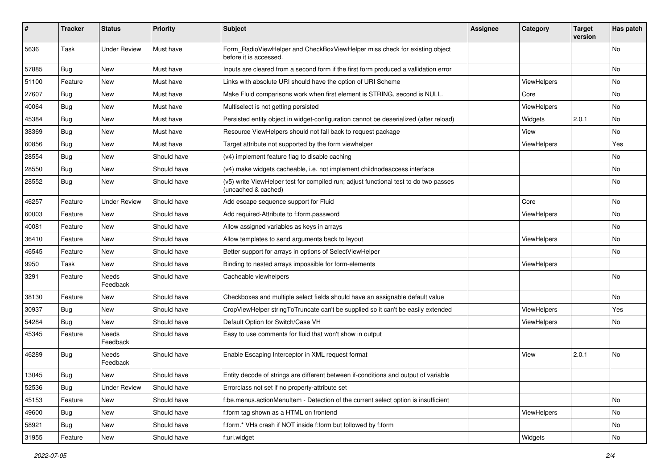| #     | <b>Tracker</b> | <b>Status</b>       | <b>Priority</b> | Subject                                                                                                     | <b>Assignee</b> | Category           | <b>Target</b><br>version | Has patch |
|-------|----------------|---------------------|-----------------|-------------------------------------------------------------------------------------------------------------|-----------------|--------------------|--------------------------|-----------|
| 5636  | Task           | <b>Under Review</b> | Must have       | Form_RadioViewHelper and CheckBoxViewHelper miss check for existing object<br>before it is accessed.        |                 |                    |                          | <b>No</b> |
| 57885 | <b>Bug</b>     | New                 | Must have       | Inputs are cleared from a second form if the first form produced a vallidation error                        |                 |                    |                          | No        |
| 51100 | Feature        | <b>New</b>          | Must have       | Links with absolute URI should have the option of URI Scheme                                                |                 | <b>ViewHelpers</b> |                          | <b>No</b> |
| 27607 | Bug            | New                 | Must have       | Make Fluid comparisons work when first element is STRING, second is NULL.                                   |                 | Core               |                          | No        |
| 40064 | Bug            | New                 | Must have       | Multiselect is not getting persisted                                                                        |                 | <b>ViewHelpers</b> |                          | No        |
| 45384 | Bug            | New                 | Must have       | Persisted entity object in widget-configuration cannot be deserialized (after reload)                       |                 | Widgets            | 2.0.1                    | No        |
| 38369 | <b>Bug</b>     | New                 | Must have       | Resource ViewHelpers should not fall back to request package                                                |                 | View               |                          | No        |
| 60856 | Bug            | New                 | Must have       | Target attribute not supported by the form viewhelper                                                       |                 | ViewHelpers        |                          | Yes       |
| 28554 | Bug            | New                 | Should have     | (v4) implement feature flag to disable caching                                                              |                 |                    |                          | No        |
| 28550 | Bug            | New                 | Should have     | (v4) make widgets cacheable, i.e. not implement childnodeaccess interface                                   |                 |                    |                          | No        |
| 28552 | Bug            | New                 | Should have     | (v5) write ViewHelper test for compiled run; adjust functional test to do two passes<br>(uncached & cached) |                 |                    |                          | No        |
| 46257 | Feature        | <b>Under Review</b> | Should have     | Add escape sequence support for Fluid                                                                       |                 | Core               |                          | No        |
| 60003 | Feature        | New                 | Should have     | Add required-Attribute to f:form.password                                                                   |                 | <b>ViewHelpers</b> |                          | No        |
| 40081 | Feature        | New                 | Should have     | Allow assigned variables as keys in arrays                                                                  |                 |                    |                          | No        |
| 36410 | Feature        | New                 | Should have     | Allow templates to send arguments back to layout                                                            |                 | ViewHelpers        |                          | No        |
| 46545 | Feature        | New                 | Should have     | Better support for arrays in options of SelectViewHelper                                                    |                 |                    |                          | No        |
| 9950  | Task           | New                 | Should have     | Binding to nested arrays impossible for form-elements                                                       |                 | ViewHelpers        |                          |           |
| 3291  | Feature        | Needs<br>Feedback   | Should have     | Cacheable viewhelpers                                                                                       |                 |                    |                          | No        |
| 38130 | Feature        | New                 | Should have     | Checkboxes and multiple select fields should have an assignable default value                               |                 |                    |                          | No        |
| 30937 | Bug            | New                 | Should have     | CropViewHelper stringToTruncate can't be supplied so it can't be easily extended                            |                 | ViewHelpers        |                          | Yes       |
| 54284 | Bug            | New                 | Should have     | Default Option for Switch/Case VH                                                                           |                 | <b>ViewHelpers</b> |                          | No        |
| 45345 | Feature        | Needs<br>Feedback   | Should have     | Easy to use comments for fluid that won't show in output                                                    |                 |                    |                          |           |
| 46289 | Bug            | Needs<br>Feedback   | Should have     | Enable Escaping Interceptor in XML request format                                                           |                 | View               | 2.0.1                    | No        |
| 13045 | Bug            | New                 | Should have     | Entity decode of strings are different between if-conditions and output of variable                         |                 |                    |                          |           |
| 52536 | <b>Bug</b>     | <b>Under Review</b> | Should have     | Errorclass not set if no property-attribute set                                                             |                 |                    |                          |           |
| 45153 | Feature        | New                 | Should have     | f:be.menus.actionMenuItem - Detection of the current select option is insufficient                          |                 |                    |                          | No        |
| 49600 | <b>Bug</b>     | New                 | Should have     | f:form tag shown as a HTML on frontend                                                                      |                 | ViewHelpers        |                          | No        |
| 58921 | Bug            | New                 | Should have     | f:form.* VHs crash if NOT inside f:form but followed by f:form                                              |                 |                    |                          | No        |
| 31955 | Feature        | New                 | Should have     | f:uri.widget                                                                                                |                 | Widgets            |                          | No        |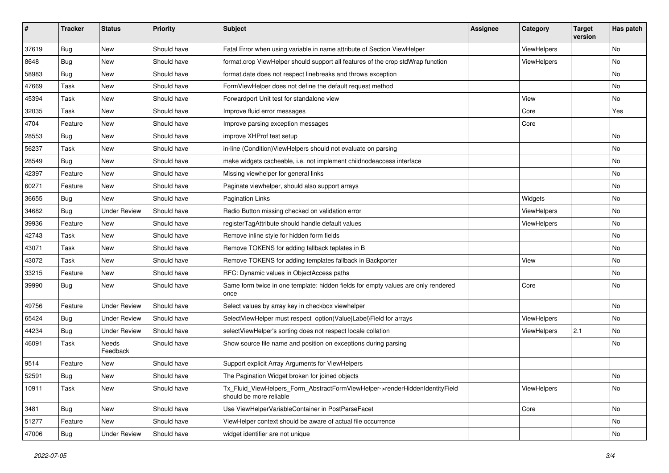| #     | <b>Tracker</b> | <b>Status</b>       | <b>Priority</b> | <b>Subject</b>                                                                                         | <b>Assignee</b> | Category    | <b>Target</b><br>version | Has patch |
|-------|----------------|---------------------|-----------------|--------------------------------------------------------------------------------------------------------|-----------------|-------------|--------------------------|-----------|
| 37619 | Bug            | New                 | Should have     | Fatal Error when using variable in name attribute of Section ViewHelper                                |                 | ViewHelpers |                          | No        |
| 8648  | Bug            | New                 | Should have     | format.crop ViewHelper should support all features of the crop stdWrap function                        |                 | ViewHelpers |                          | No        |
| 58983 | Bug            | New                 | Should have     | format.date does not respect linebreaks and throws exception                                           |                 |             |                          | No        |
| 47669 | Task           | New                 | Should have     | FormViewHelper does not define the default request method                                              |                 |             |                          | No        |
| 45394 | Task           | New                 | Should have     | Forwardport Unit test for standalone view                                                              |                 | View        |                          | No        |
| 32035 | Task           | New                 | Should have     | Improve fluid error messages                                                                           |                 | Core        |                          | Yes       |
| 4704  | Feature        | New                 | Should have     | Improve parsing exception messages                                                                     |                 | Core        |                          |           |
| 28553 | Bug            | New                 | Should have     | improve XHProf test setup                                                                              |                 |             |                          | No        |
| 56237 | Task           | New                 | Should have     | in-line (Condition) View Helpers should not evaluate on parsing                                        |                 |             |                          | No        |
| 28549 | Bug            | New                 | Should have     | make widgets cacheable, i.e. not implement childnodeaccess interface                                   |                 |             |                          | No        |
| 42397 | Feature        | New                 | Should have     | Missing viewhelper for general links                                                                   |                 |             |                          | No        |
| 60271 | Feature        | New                 | Should have     | Paginate viewhelper, should also support arrays                                                        |                 |             |                          | No        |
| 36655 | Bug            | New                 | Should have     | <b>Pagination Links</b>                                                                                |                 | Widgets     |                          | No        |
| 34682 | <b>Bug</b>     | <b>Under Review</b> | Should have     | Radio Button missing checked on validation error                                                       |                 | ViewHelpers |                          | No        |
| 39936 | Feature        | New                 | Should have     | registerTagAttribute should handle default values                                                      |                 | ViewHelpers |                          | No        |
| 42743 | Task           | New                 | Should have     | Remove inline style for hidden form fields                                                             |                 |             |                          | No        |
| 43071 | Task           | New                 | Should have     | Remove TOKENS for adding fallback teplates in B                                                        |                 |             |                          | No        |
| 43072 | Task           | New                 | Should have     | Remove TOKENS for adding templates fallback in Backporter                                              |                 | View        |                          | No        |
| 33215 | Feature        | <b>New</b>          | Should have     | RFC: Dynamic values in ObjectAccess paths                                                              |                 |             |                          | No        |
| 39990 | Bug            | New                 | Should have     | Same form twice in one template: hidden fields for empty values are only rendered<br>once              |                 | Core        |                          | No        |
| 49756 | Feature        | <b>Under Review</b> | Should have     | Select values by array key in checkbox viewhelper                                                      |                 |             |                          | No        |
| 65424 | Bug            | <b>Under Review</b> | Should have     | SelectViewHelper must respect option(Value Label)Field for arrays                                      |                 | ViewHelpers |                          | No        |
| 44234 | Bug            | <b>Under Review</b> | Should have     | selectViewHelper's sorting does not respect locale collation                                           |                 | ViewHelpers | 2.1                      | No        |
| 46091 | Task           | Needs<br>Feedback   | Should have     | Show source file name and position on exceptions during parsing                                        |                 |             |                          | No        |
| 9514  | Feature        | New                 | Should have     | Support explicit Array Arguments for ViewHelpers                                                       |                 |             |                          |           |
| 52591 | Bug            | New                 | Should have     | The Pagination Widget broken for joined objects                                                        |                 |             |                          | No        |
| 10911 | Task           | New                 | Should have     | Tx Fluid ViewHelpers Form AbstractFormViewHelper->renderHiddenIdentityField<br>should be more reliable |                 | ViewHelpers |                          | No        |
| 3481  | Bug            | New                 | Should have     | Use ViewHelperVariableContainer in PostParseFacet                                                      |                 | Core        |                          | No        |
| 51277 | Feature        | New                 | Should have     | ViewHelper context should be aware of actual file occurrence                                           |                 |             |                          | No        |
| 47006 | Bug            | <b>Under Review</b> | Should have     | widget identifier are not unique                                                                       |                 |             |                          | No        |